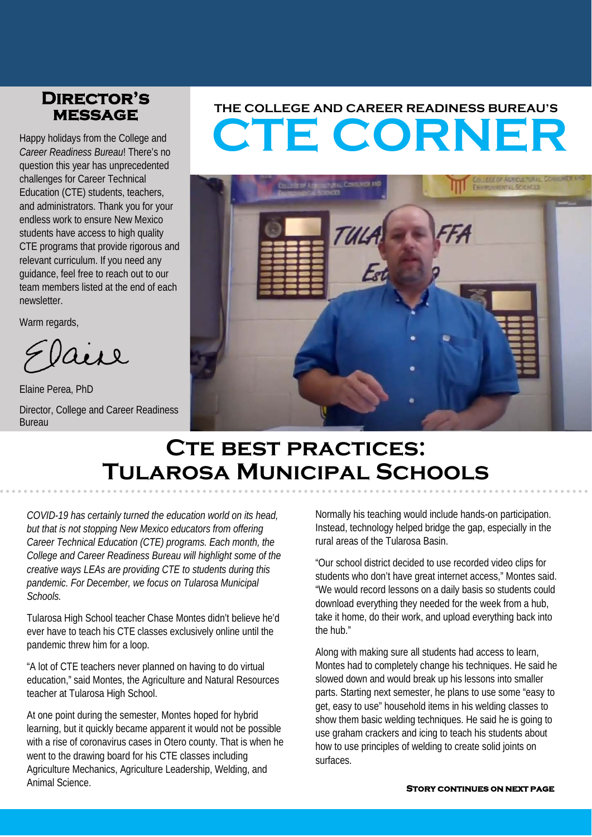# **message**

Happy holidays from the College and *Career Readiness Bureau*! There's no question this year has unprecedented challenges for Career Technical Education (CTE) students, teachers, and administrators. Thank you for your endless work to ensure New Mexico students have access to high quality CTE programs that provide rigorous and relevant curriculum. If you need any guidance, feel free to reach out to our team members listed at the end of each newsletter.

Warm regards,

aire

Elaine Perea, PhD

Director, College and Career Readiness Bureau

# **CTE CORNER THE COLLEGE AND CAREER READINESS BUREAU'S Director's**



## **Cte best practices: Tularosa Municipal Schools**

*COVID-19 has certainly turned the education world on its head, but that is not stopping New Mexico educators from offering Career Technical Education (CTE) programs. Each month, the College and Career Readiness Bureau will highlight some of the creative ways LEAs are providing CTE to students during this pandemic. For December, we focus on Tularosa Municipal Schools.*

Tularosa High School teacher Chase Montes didn't believe he'd ever have to teach his CTE classes exclusively online until the pandemic threw him for a loop.

"A lot of CTE teachers never planned on having to do virtual education," said Montes, the Agriculture and Natural Resources teacher at Tularosa High School.

At one point during the semester, Montes hoped for hybrid learning, but it quickly became apparent it would not be possible with a rise of coronavirus cases in Otero county. That is when he went to the drawing board for his CTE classes including Agriculture Mechanics, Agriculture Leadership, Welding, and Animal Science.

Normally his teaching would include hands-on participation. Instead, technology helped bridge the gap, especially in the rural areas of the Tularosa Basin.

"Our school district decided to use recorded video clips for students who don't have great internet access," Montes said. "We would record lessons on a daily basis so students could download everything they needed for the week from a hub, take it home, do their work, and upload everything back into the hub."

Along with making sure all students had access to learn, Montes had to completely change his techniques. He said he slowed down and would break up his lessons into smaller parts. Starting next semester, he plans to use some "easy to get, easy to use" household items in his welding classes to show them basic welding techniques. He said he is going to use graham crackers and icing to teach his students about how to use principles of welding to create solid joints on surfaces.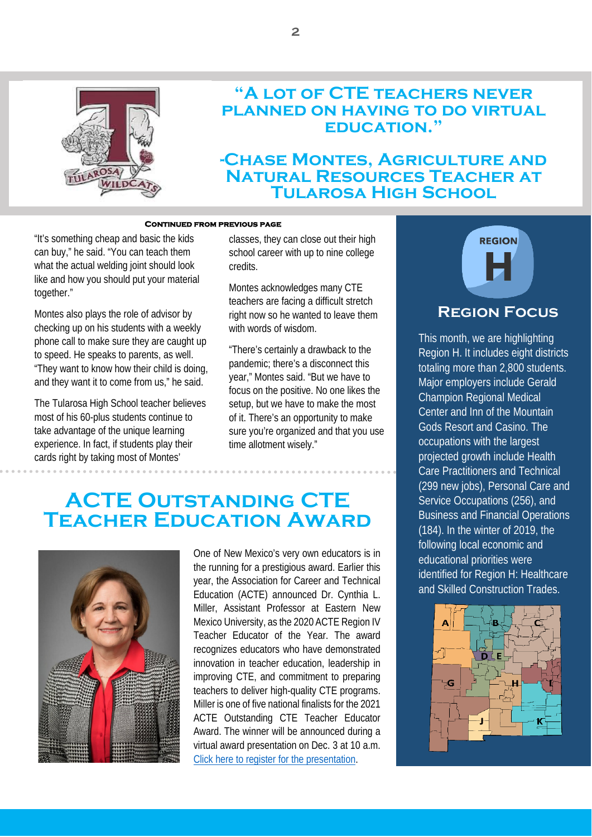

#### **"A lot of CTE teachers never planned on having to do virtual education."**

#### **-Chase Montes, Agriculture and Natural Resources Teacher at Tularosa High School**

#### **Continued from previous page**

"It's something cheap and basic the kids can buy," he said. "You can teach them what the actual welding joint should look like and how you should put your material together."

Montes also plays the role of advisor by checking up on his students with a weekly phone call to make sure they are caught up to speed. He speaks to parents, as well. "They want to know how their child is doing, and they want it to come from us," he said.

The Tularosa High School teacher believes most of his 60-plus students continue to take advantage of the unique learning experience. In fact, if students play their cards right by taking most of Montes'

classes, they can close out their high school career with up to nine college credits.

Montes acknowledges many CTE teachers are facing a difficult stretch right now so he wanted to leave them with words of wisdom.

"There's certainly a drawback to the pandemic; there's a disconnect this year," Montes said. "But we have to focus on the positive. No one likes the setup, but we have to make the most of it. There's an opportunity to make sure you're organized and that you use time allotment wisely."

### **ACTE Outstanding CTE Teacher Education Award**



One of New Mexico's very own educators is in the running for a prestigious award. Earlier this year, the Association for Career and Technical Education (ACTE) announced Dr. Cynthia L. Miller, Assistant Professor at Eastern New Mexico University, as the 2020 ACTE Region IV Teacher Educator of the Year. The award recognizes educators who have demonstrated innovation in teacher education, leadership in improving CTE, and commitment to preparing teachers to deliver high-quality CTE programs. Miller is one of five national finalists for the 2021 ACTE Outstanding CTE Teacher Educator Award. The winner will be announced during a virtual award presentation on Dec. 3 at 10 a.m. [Click here to register for the](https://www.careertechvision.com/awards.cfm) presentation.



#### **Region Focus**

This month, we are highlighting Region H. It includes eight districts totaling more than 2,800 students. Major employers include Gerald Champion Regional Medical Center and Inn of the Mountain Gods Resort and Casino. The occupations with the largest projected growth include Health Care Practitioners and Technical (299 new jobs), Personal Care and Service Occupations (256), and Business and Financial Operations (184). In the winter of 2019, the following local economic and educational priorities were identified for Region H: Healthcare and Skilled Construction Trades.

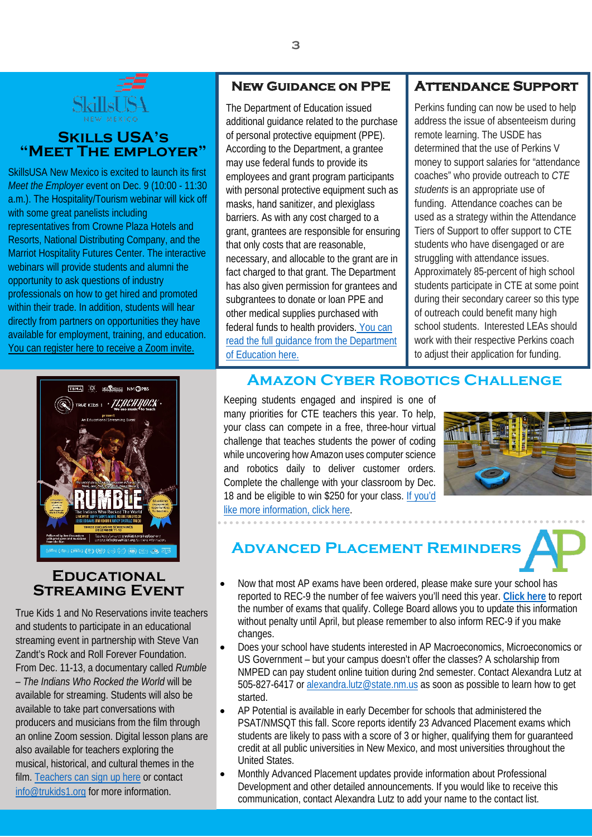

#### **"MEET THE EMPLOYER"** | ACCOTC **Skills USA's**

SkillsUSA New Mexico is excited to launch its first *Meet the Employer* event on Dec. 9 (10:00 - 11:30 a.m.). The Hospitality/Tourism webinar will kick off with some great panelists including representatives from Crowne Plaza Hotels and Resorts, National Distributing Company, and the Marriot Hospitality Futures Center. The interactive webinars will provide students and alumni the opportunity to ask questions of industry professionals on how to get hired and promoted within their trade. In addition, students will hear directly from partners on opportunities they have available for employment, training, and education. [You can register here to receive a Zoom invite.](https://cnm-edu.zoom.us/meeting/register/tJwuc-utpz8rE9zHreZkaFbfyVMzi9llwL0T)

The Department of Education issued additional guidance related to the purchase of personal protective equipment (PPE). According to the Department, a grantee may use federal funds to provide its employees and grant program participants with personal protective equipment such as masks, hand sanitizer, and plexiglass barriers. As with any cost charged to a grant, grantees are responsible for ensuring that only costs that are reasonable, necessary, and allocable to the grant are in fact charged to that grant. The Department has also given permission for grantees and subgrantees to donate or loan PPE and other medical supplies purchased with federal funds to health providers. You can read the full guidance from the Department of Education here.

#### **New Guidance on PPE Attendance Support**

Perkins funding can now be used to help address the issue of absenteeism during remote learning. The USDE has determined that the use of Perkins V money to support salaries for "attendance coaches" who provide outreach to *CTE students* is an appropriate use of funding. Attendance coaches can be used as a strategy within the Attendance Tiers of Support to offer support to CTE students who have disengaged or are struggling with attendance issues. Approximately 85-percent of high school students participate in CTE at some point during their secondary career so this type of outreach could benefit many high school students. Interested LEAs should work with their respective Perkins coach to adjust their application for funding.



#### **Educational Streaming Event**

True Kids 1 and No Reservations invite teachers and students to participate in an educational streaming event in partnership with Steve Van Zandt's Rock and Roll Forever Foundation. From Dec. 11-13, a documentary called *Rumble – The Indians Who Rocked the World* will be available for streaming. Students will also be available to take part conversations with producers and musicians from the film through an online Zoom session. Digital lesson plans are also available for teachers exploring the musical, historical, and cultural themes in the film[. Teachers can sign up here](http://www.truekids1.org/register) or contact [info@trukids1.org](mailto:info@trukids1.org) for more information.

#### **AMAZON CYBER ROBOTICS CHALLENGE**

Keeping students engaged and inspired is one of many priorities for CTE teachers this year. To help, your class can compete in a free, three-hour virtual challenge that teaches students the power of coding while uncovering how Amazon uses computer science and robotics daily to deliver customer orders. Complete the challenge with your classroom by Dec. 18 and be eligible to win \$250 for your class. [If you'd](https://www.amazonfutureengineer.com/cyberrobotics)  [like more information, click here.](https://www.amazonfutureengineer.com/cyberrobotics)



### **Advanced Placement Reminders**

- Now that most AP exams have been ordered, please make sure your school has reported to REC-9 the number of fee waivers you'll need this year. **[Click here](https://docs.google.com/forms/d/e/1FAIpQLSdR7a6yzwgv2-d2u1YlY5r-A8f6fLm_rHYOOVNGEVdssjudoQ/viewform)** to report the number of exams that qualify. College Board allows you to update this information without penalty until April, but please remember to also inform REC-9 if you make changes.
- Does your school have students interested in AP Macroeconomics, Microeconomics or US Government – but your campus doesn't offer the classes? A scholarship from NMPED can pay student online tuition during 2nd semester. Contact Alexandra Lutz at 505-827-6417 o[r alexandra.lutz@state.nm.us](mailto:alexandra.lutz@state.nm.us) as soon as possible to learn how to get started.
- AP Potential is available in early December for schools that administered the PSAT/NMSQT this fall. Score reports identify 23 Advanced Placement exams which students are likely to pass with a score of 3 or higher, qualifying them for quaranteed credit at all public universities in New Mexico, and most universities throughout the United States.
- Monthly Advanced Placement updates provide information about Professional Development and other detailed announcements. If you would like to receive this communication, contact Alexandra Lutz to add your name to the contact list.

**3**